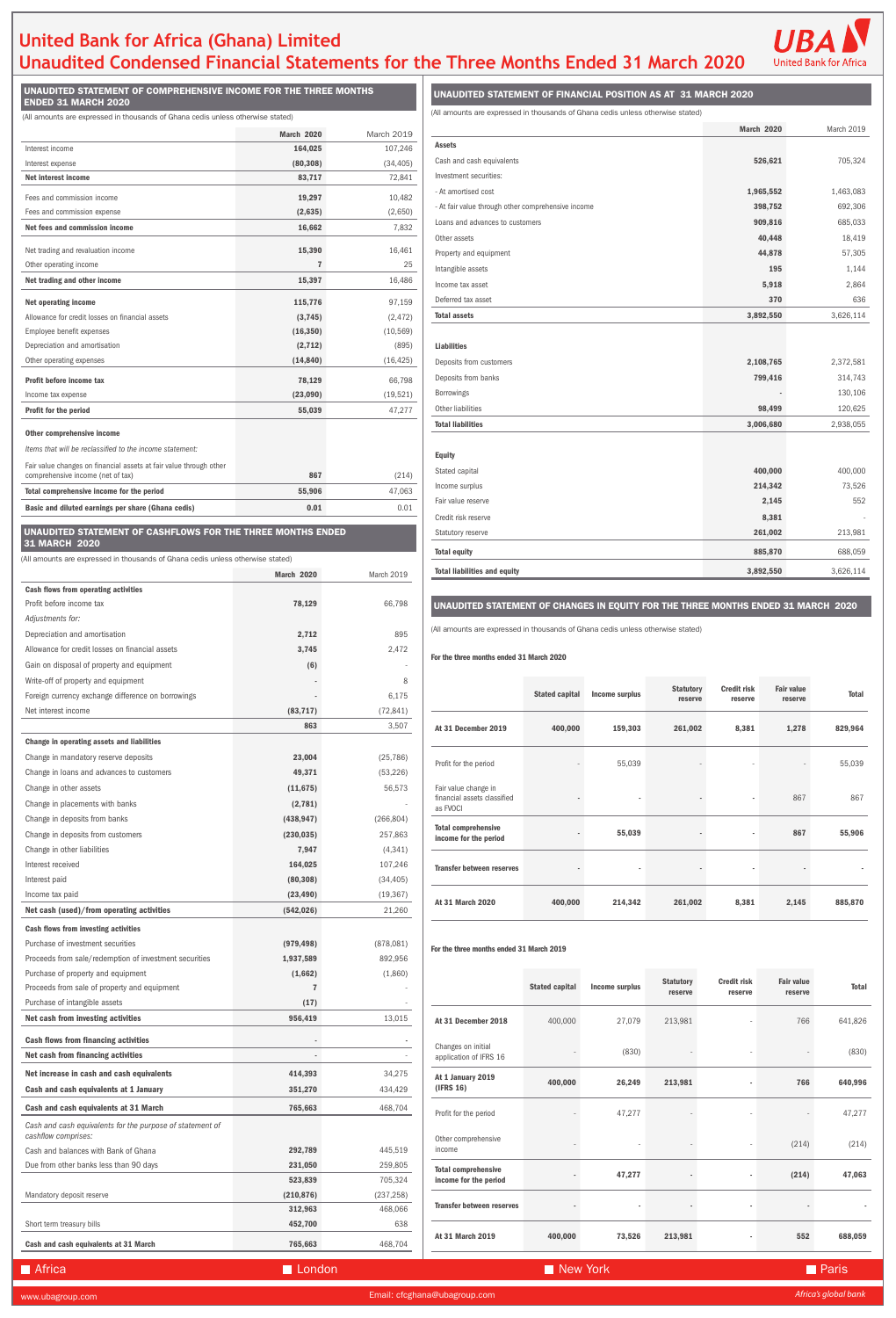# **United Bank for Africa (Ghana) Limited Unaudited Condensed Financial Statements for the Three Months Ended 31 March 2020**



UNAUDITED STATEMENT OF COMPREHENSIVE INCOME FOR THE THREE MONTHS ENDED 31 MARCH 2020

(All amounts are expressed in thousands of Ghana cedis unless otherwise stated) (All amounts are expressed in thousands of Ghana cedis unless otherwise stated)

UNAUDITED STATEMENT OF FINANCIAL POSITION AS AT 31 MARCH 2020

## UNAUDITED STATEMENT OF CHANGES IN EQUITY FOR THE THREE MONTHS ENDED 31 MARCH 2020

| Purchase of property and equipment                                               | (1,662)    | (1,860)                      |                                  |                       |                |                             |                               |                              |              |
|----------------------------------------------------------------------------------|------------|------------------------------|----------------------------------|-----------------------|----------------|-----------------------------|-------------------------------|------------------------------|--------------|
| Proceeds from sale of property and equipment                                     |            |                              |                                  | <b>Stated capital</b> | Income surplus | <b>Statutory</b><br>reserve | <b>Credit risk</b><br>reserve | <b>Fair value</b><br>reserve | <b>Total</b> |
| Purchase of intangible assets                                                    | (17)       |                              |                                  |                       |                |                             |                               |                              |              |
| Net cash from investing activities                                               | 956,419    | 13,015                       | At 31 December 2018              | 400,000               | 27,079         | 213,981                     |                               | 766                          | 641,826      |
| <b>Cash flows from financing activities</b>                                      | $\sim$     | ٠                            | Changes on initial               |                       |                |                             |                               |                              |              |
| Net cash from financing activities                                               |            |                              | application of IFRS 16           |                       | (830)          |                             |                               |                              | (830)        |
| Net increase in cash and cash equivalents                                        | 414,393    | 34,275                       | At 1 January 2019                |                       |                |                             |                               |                              |              |
| Cash and cash equivalents at 1 January                                           | 351,270    | 434,429                      | (IFRS 16)                        | 400,000               | 26,249         | 213,981                     |                               | 766                          | 640,996      |
| Cash and cash equivalents at 31 March                                            | 765,663    | 468,704                      | Profit for the period            |                       | 47,277         |                             |                               |                              | 47,277       |
| Cash and cash equivalents for the purpose of statement of<br>cashflow comprises: |            |                              | Other comprehensive              |                       |                |                             |                               |                              |              |
| Cash and balances with Bank of Ghana                                             | 292,789    | 445,519                      | income                           |                       |                |                             |                               | (214)                        | (214)        |
| Due from other banks less than 90 days                                           | 231,050    | 259,805                      | <b>Total comprehensive</b>       |                       |                |                             |                               |                              |              |
|                                                                                  | 523,839    | 705,324                      | income for the period            |                       | 47,277         |                             |                               | (214)                        | 47,063       |
| Mandatory deposit reserve                                                        | (210, 876) | (237, 258)                   |                                  |                       |                |                             |                               |                              |              |
|                                                                                  | 312,963    | 468,066                      | <b>Transfer between reserves</b> |                       |                |                             |                               |                              |              |
| Short term treasury bills                                                        | 452,700    | 638                          |                                  |                       |                |                             |                               |                              |              |
| Cash and cash equivalents at 31 March                                            | 765,663    | 468,704                      | At 31 March 2019                 | 400,000               | 73,526         | 213,981                     |                               | 552                          | 688,059      |
| Africa                                                                           | London     |                              |                                  | New York              |                |                             |                               |                              | <b>Paris</b> |
| www.ubagroup.com                                                                 |            | Email: cfcghana@ubagroup.com |                                  |                       |                |                             |                               | Africa's global bank         |              |

|                                                    | <b>March 2020</b> | March 2019 |
|----------------------------------------------------|-------------------|------------|
| <b>Assets</b>                                      |                   |            |
| Cash and cash equivalents                          | 526,621           | 705,324    |
| Investment securities:                             |                   |            |
| - At amortised cost                                | 1,965,552         | 1,463,083  |
| - At fair value through other comprehensive income | 398,752           | 692,306    |
| Loans and advances to customers                    | 909,816           | 685,033    |
| Other assets                                       | 40,448            | 18,419     |
| Property and equipment                             | 44,878            | 57,305     |
| Intangible assets                                  | 195               | 1,144      |
| Income tax asset                                   | 5,918             | 2,864      |
| Deferred tax asset                                 | 370               | 636        |
| <b>Total assets</b>                                | 3,892,550         | 3,626,114  |
|                                                    |                   |            |
| <b>Liabilities</b>                                 |                   |            |
| Deposits from customers                            | 2,108,765         | 2,372,581  |
| Deposits from banks                                | 799,416           | 314,743    |
| Borrowings                                         |                   | 130,106    |
| Other liabilities                                  | 98,499            | 120,625    |
| <b>Total liabilities</b>                           | 3,006,680         | 2,938,055  |
|                                                    |                   |            |
| <b>Equity</b>                                      |                   |            |
| Stated capital                                     | 400,000           | 400,000    |
| Income surplus                                     | 214,342           | 73,526     |
| Fair value reserve                                 | 2,145             | 552        |
| Credit risk reserve                                | 8,381             |            |
| Statutory reserve                                  | 261,002           | 213,981    |
| <b>Total equity</b>                                | 885,870           | 688,059    |
| <b>Total liabilities and equity</b>                | 3,892,550         | 3,626,114  |

#### For the three months ended 31 March 2020

 $\overline{\phantom{a}}$ 

|                                                                 | <b>Stated capital</b> | Income surplus | <b>Statutory</b><br>reserve | <b>Credit risk</b><br>reserve | <b>Fair value</b><br>reserve | <b>Total</b> |
|-----------------------------------------------------------------|-----------------------|----------------|-----------------------------|-------------------------------|------------------------------|--------------|
| At 31 December 2019                                             | 400,000               | 159,303        | 261,002                     | 8,381                         | 1,278                        | 829,964      |
| Profit for the period                                           |                       | 55,039         |                             |                               |                              | 55,039       |
| Fair value change in<br>financial assets classified<br>as FVOCI |                       | ٠              |                             | ٠                             | 867                          | 867          |
| <b>Total comprehensive</b><br>income for the period             |                       | 55,039         |                             | ٠                             | 867                          | 55,906       |
| <b>Transfer between reserves</b>                                |                       | ٠              |                             |                               |                              |              |
| At 31 March 2020                                                | 400,000               | 214,342        | 261,002                     | 8,381                         | 2,145                        | 885,870      |

the three months ended 31 March 2019

|                                                                                 | <b>March 2020</b>        | <b>March 2019</b>     |  |  |  |
|---------------------------------------------------------------------------------|--------------------------|-----------------------|--|--|--|
| Interest income                                                                 | 164,025                  | 107,246               |  |  |  |
| Interest expense                                                                | (80, 308)                | (34, 405)             |  |  |  |
| Net interest income                                                             | 83,717                   | 72,841                |  |  |  |
| Fees and commission income                                                      | 19,297                   | 10,482                |  |  |  |
| Fees and commission expense                                                     | (2,635)                  | (2,650)               |  |  |  |
| Net fees and commission income                                                  | 16,662                   | 7,832                 |  |  |  |
| Net trading and revaluation income                                              | 15,390                   | 16,461                |  |  |  |
| Other operating income                                                          | $\overline{7}$           | 25                    |  |  |  |
| Net trading and other income                                                    | 15,397                   | 16,486                |  |  |  |
|                                                                                 |                          |                       |  |  |  |
| <b>Net operating income</b>                                                     | 115,776                  | 97,159                |  |  |  |
| Allowance for credit losses on financial assets                                 | (3, 745)                 | (2, 472)              |  |  |  |
| Employee benefit expenses                                                       | (16, 350)                | (10, 569)             |  |  |  |
| Depreciation and amortisation                                                   | (2, 712)                 | (895)                 |  |  |  |
| Other operating expenses                                                        | (14, 840)                | (16, 425)             |  |  |  |
| Profit before income tax                                                        | 78,129                   | 66,798                |  |  |  |
| Income tax expense                                                              | (23,090)                 | (19, 521)             |  |  |  |
| <b>Profit for the period</b>                                                    | 55,039                   | 47,277                |  |  |  |
| Other comprehensive income                                                      |                          |                       |  |  |  |
| Items that will be reclassified to the income statement:                        |                          |                       |  |  |  |
| Fair value changes on financial assets at fair value through other              |                          |                       |  |  |  |
| comprehensive income (net of tax)                                               | 867                      | (214)                 |  |  |  |
| Total comprehensive income for the period                                       | 55,906<br>0.01           | 47,063<br>0.01        |  |  |  |
| Basic and diluted earnings per share (Ghana cedis)                              |                          |                       |  |  |  |
| UNAUDITED STATEMENT OF CASHFLOWS FOR THE THREE MONTHS ENDED                     |                          |                       |  |  |  |
|                                                                                 |                          |                       |  |  |  |
| 31 MARCH 2020                                                                   |                          |                       |  |  |  |
| (All amounts are expressed in thousands of Ghana cedis unless otherwise stated) |                          |                       |  |  |  |
|                                                                                 | <b>March 2020</b>        | March 2019            |  |  |  |
| <b>Cash flows from operating activities</b>                                     |                          |                       |  |  |  |
| Profit before income tax                                                        | 78,129                   | 66,798                |  |  |  |
| Adjustments for:                                                                |                          |                       |  |  |  |
| Depreciation and amortisation                                                   | 2,712                    | 895                   |  |  |  |
| Allowance for credit losses on financial assets                                 | 3,745                    | 2,472                 |  |  |  |
| Gain on disposal of property and equipment                                      | (6)                      |                       |  |  |  |
| Write-off of property and equipment                                             |                          | 8                     |  |  |  |
| Foreign currency exchange difference on borrowings                              |                          | 6,175                 |  |  |  |
| Net interest income                                                             | (83, 717)<br>863         | (72, 841)<br>3,507    |  |  |  |
| Change in operating assets and liabilities                                      |                          |                       |  |  |  |
|                                                                                 |                          |                       |  |  |  |
| Change in mandatory reserve deposits                                            | 23,004                   | (25, 786)             |  |  |  |
| Change in loans and advances to customers                                       | 49,371                   | (53, 226)             |  |  |  |
| Change in other assets                                                          | (11, 675)                | 56,573                |  |  |  |
| Change in placements with banks<br>Change in deposits from banks                | (2,781)                  |                       |  |  |  |
| Change in deposits from customers                                               | (438, 947)<br>(230, 035) | (266, 804)<br>257,863 |  |  |  |
|                                                                                 | 7,947                    |                       |  |  |  |
| Change in other liabilities<br>Interest received                                | 164,025                  | (4,341)<br>107,246    |  |  |  |
| Interest paid                                                                   | (80, 308)                | (34, 405)             |  |  |  |
| Income tax paid                                                                 | (23, 490)                | (19, 367)             |  |  |  |
| Net cash (used)/from operating activities                                       | (542, 026)               | 21,260                |  |  |  |
| <b>Cash flows from investing activities</b>                                     |                          |                       |  |  |  |

| Purchase of investment securities                                                | (979, 498) | (878,081)  |
|----------------------------------------------------------------------------------|------------|------------|
| Proceeds from sale/redemption of investment securities                           | 1,937,589  | 892,956    |
| Purchase of property and equipment                                               | (1,662)    | (1,860)    |
| Proceeds from sale of property and equipment                                     | 7          |            |
| Purchase of intangible assets                                                    | (17)       |            |
| Net cash from investing activities                                               | 956,419    | 13,015     |
| <b>Cash flows from financing activities</b>                                      |            |            |
| Net cash from financing activities                                               |            |            |
| Net increase in cash and cash equivalents                                        | 414,393    | 34,275     |
| Cash and cash equivalents at 1 January                                           | 351,270    | 434,429    |
| Cash and cash equivalents at 31 March                                            | 765,663    | 468,704    |
| Cash and cash equivalents for the purpose of statement of<br>cashflow comprises: |            |            |
| Cash and balances with Bank of Ghana                                             | 292.789    | 445,519    |
| Due from other banks less than 90 days                                           | 231,050    | 259,805    |
|                                                                                  | 523,839    | 705,324    |
| Mandatory deposit reserve                                                        | (210, 876) | (237, 258) |
|                                                                                  | 312,963    | 468,066    |
| Short term treasury bills                                                        | 452,700    | 638        |
| Cash and cash equivalents at 31 March                                            | 765,663    | 468,704    |
|                                                                                  |            |            |
| <b>Africa</b>                                                                    | London     |            |

(All amounts are expressed in thousands of Ghana cedis unless otherwise stated)